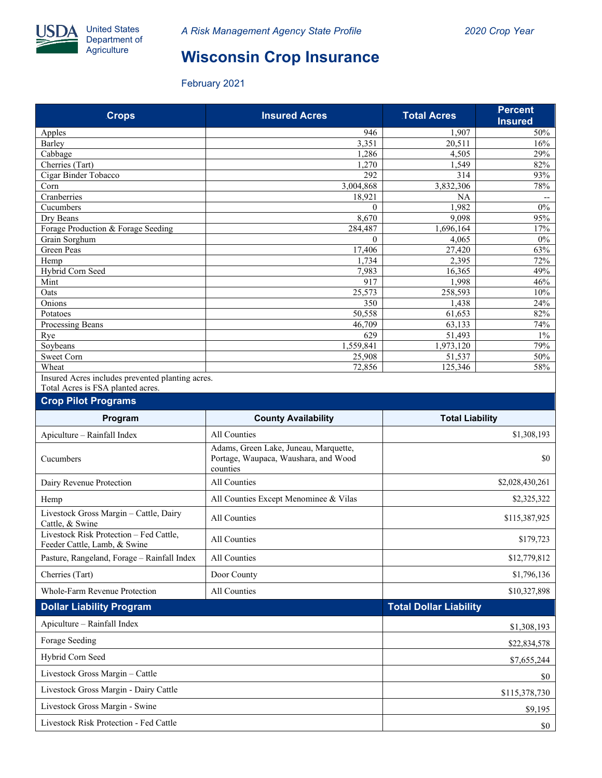

## **Wisconsin Crop Insurance**

February 2021

| <b>Crops</b>                                                                          | <b>Insured Acres</b> | <b>Total Acres</b> | Percent<br><b>Insured</b> |  |  |  |  |
|---------------------------------------------------------------------------------------|----------------------|--------------------|---------------------------|--|--|--|--|
| Apples                                                                                | 946                  | 1.907              | 50%                       |  |  |  |  |
| Barley                                                                                | 3,351                | 20,511             | 16%                       |  |  |  |  |
| Cabbage                                                                               | 1,286                | 4,505              | 29%                       |  |  |  |  |
| Cherries (Tart)                                                                       | .270                 | 1,549              | 82%                       |  |  |  |  |
| Cigar Binder Tobacco                                                                  | 292                  | 314                | 93%                       |  |  |  |  |
| Corn                                                                                  | 3,004,868            | 3,832,306          | 78%                       |  |  |  |  |
| Cranberries                                                                           | 18,921               | NA                 | --                        |  |  |  |  |
| Cucumbers                                                                             | $\Omega$             | 1.982              | 0%                        |  |  |  |  |
| Dry Beans                                                                             | 8,670                | 9,098              | 95%                       |  |  |  |  |
| Forage Production & Forage Seeding                                                    | 284,487              | 1,696,164          | 17%                       |  |  |  |  |
| Grain Sorghum                                                                         | $\Omega$             | 4,065              | 0%                        |  |  |  |  |
| Green Peas                                                                            | 17,406               | 27,420             | 63%                       |  |  |  |  |
| Hemp                                                                                  | 1.734                | 2,395              | 72%                       |  |  |  |  |
| Hybrid Corn Seed                                                                      | 7,983                | 16,365             | 49%                       |  |  |  |  |
| Mint                                                                                  | 917                  | 1,998              | 46%                       |  |  |  |  |
| Oats                                                                                  | 25,573               | 258,593            | 10%                       |  |  |  |  |
| Onions                                                                                | 350                  | 1,438              | 24%                       |  |  |  |  |
| Potatoes                                                                              | 50,558               | 61,653             | 82%                       |  |  |  |  |
| Processing Beans                                                                      | 46,709               | 63,133             | 74%                       |  |  |  |  |
| Rye                                                                                   | 629                  | 51,493             | $1\%$                     |  |  |  |  |
| Soybeans                                                                              | 1,559,841            | 1,973,120          | 79%                       |  |  |  |  |
| <b>Sweet Corn</b>                                                                     | 25,908               | 51,537             | 50%                       |  |  |  |  |
| Wheat                                                                                 | 72,856               | 125,346            | 58%                       |  |  |  |  |
| Insured Acres includes prevented planting acres.<br>Total Acres is FSA planted acres. |                      |                    |                           |  |  |  |  |
| <b>Crop Pilot Programs</b>                                                            |                      |                    |                           |  |  |  |  |

| Program                                                                 | <b>County Availability</b>                                                                | <b>Total Liability</b> |  |  |
|-------------------------------------------------------------------------|-------------------------------------------------------------------------------------------|------------------------|--|--|
| Apiculture - Rainfall Index                                             | All Counties                                                                              | \$1,308,193            |  |  |
| Cucumbers                                                               | Adams, Green Lake, Juneau, Marquette,<br>Portage, Waupaca, Waushara, and Wood<br>counties | \$0                    |  |  |
| Dairy Revenue Protection                                                | All Counties                                                                              | \$2,028,430,261        |  |  |
| Hemp                                                                    | All Counties Except Menominee & Vilas                                                     | \$2,325,322            |  |  |
| Livestock Gross Margin - Cattle, Dairy<br>Cattle, & Swine               | All Counties                                                                              | \$115,387,925          |  |  |
| Livestock Risk Protection - Fed Cattle.<br>Feeder Cattle, Lamb, & Swine | All Counties                                                                              | \$179,723              |  |  |
| Pasture, Rangeland, Forage - Rainfall Index                             | All Counties                                                                              | \$12,779,812           |  |  |
| Cherries (Tart)                                                         | Door County                                                                               | \$1,796,136            |  |  |
| Whole-Farm Revenue Protection                                           | All Counties                                                                              | \$10,327,898           |  |  |
| <b>Dollar Liability Program</b>                                         | <b>Total Dollar Liability</b>                                                             |                        |  |  |
| Apiculture - Rainfall Index                                             |                                                                                           | \$1,308,193            |  |  |
| Forage Seeding                                                          |                                                                                           | \$22,834,578           |  |  |
| Hybrid Corn Seed                                                        |                                                                                           | \$7,655,244            |  |  |
| Livestock Gross Margin - Cattle                                         |                                                                                           | \$0                    |  |  |
| Livestock Gross Margin - Dairy Cattle                                   |                                                                                           | \$115,378,730          |  |  |
| Livestock Gross Margin - Swine                                          | \$9,195                                                                                   |                        |  |  |
| Livestock Risk Protection - Fed Cattle                                  | \$0                                                                                       |                        |  |  |